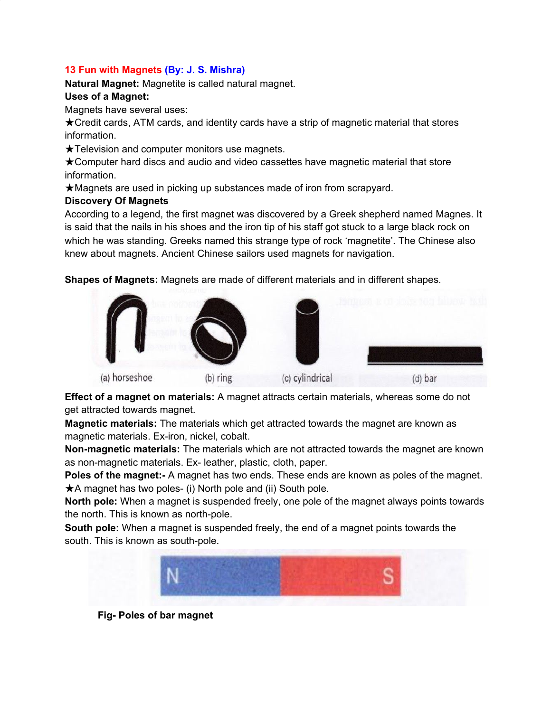### **13 Fun with Magnets (By: J. S. Mishra)**

**Natural Magnet:** Magnetite is called natural magnet.

### **Uses of a Magnet:**

Magnets have several uses:

★Credit cards, ATM cards, and identity cards have a strip of magnetic material that stores information.

★Television and computer monitors use magnets.

★Computer hard discs and audio and video cassettes have magnetic material that store information.

★Magnets are used in picking up substances made of iron from scrapyard.

### **Discovery Of Magnets**

According to a legend, the first magnet was discovered by a Greek shepherd named Magnes. It is said that the nails in his shoes and the iron tip of his staff got stuck to a large black rock on which he was standing. Greeks named this strange type of rock 'magnetite'. The Chinese also knew about magnets. Ancient Chinese sailors used magnets for navigation.

**Shapes of Magnets:** Magnets are made of different materials and in different shapes.



**Effect of a magnet on materials:** A magnet attracts certain materials, whereas some do not get attracted towards magnet.

**Magnetic materials:** The materials which get attracted towards the magnet are known as magnetic materials. Ex-iron, nickel, cobalt.

**Non-magnetic materials:** The materials which are not attracted towards the magnet are known as non-magnetic materials. Ex- leather, plastic, cloth, paper.

**Poles of the magnet:-** A magnet has two ends. These ends are known as poles of the magnet. ★A magnet has two poles- (i) North pole and (ii) South pole.

**North pole:** When a magnet is suspended freely, one pole of the magnet always points towards the north. This is known as north-pole.

**South pole:** When a magnet is suspended freely, the end of a magnet points towards the south. This is known as south-pole.



**Fig- Poles of bar magnet**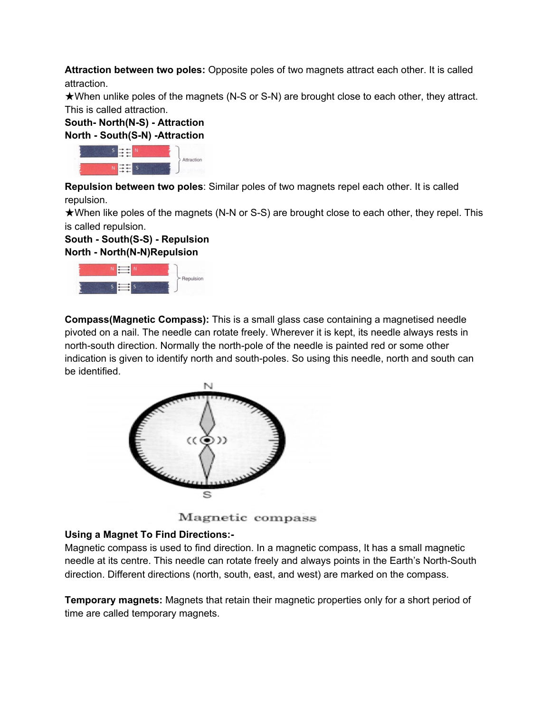**Attraction between two poles:** Opposite poles of two magnets attract each other. It is called attraction.

★When unlike poles of the magnets (N-S or S-N) are brought close to each other, they attract. This is called attraction.

# **South- North(N-S) - Attraction North - South(S-N) -Attraction**



**Repulsion between two poles**: Similar poles of two magnets repel each other. It is called repulsion.

★When like poles of the magnets (N-N or S-S) are brought close to each other, they repel. This is called repulsion.

### **South - South(S-S) - Repulsion North - North(N-N)Repulsion**



**Compass(Magnetic Compass):** This is a small glass case containing a magnetised needle pivoted on a nail. The needle can rotate freely. Wherever it is kept, its needle always rests in north-south direction. Normally the north-pole of the needle is painted red or some other indication is given to identify north and south-poles. So using this needle, north and south can be identified.



Magnetic compass

# **Using a Magnet To Find Directions:-**

Magnetic compass is used to find direction. In a magnetic compass, It has a small magnetic needle at its centre. This needle can rotate freely and always points in the Earth's North-South direction. Different directions (north, south, east, and west) are marked on the compass.

**Temporary magnets:** Magnets that retain their magnetic properties only for a short period of time are called temporary magnets.